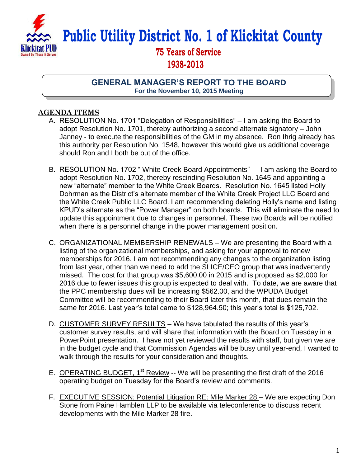

# **Public Utility District No. 1 of Klickitat County**

## **75 Years of Service 1938-2013**

**GENERAL MANAGER'S REPORT TO THE BOARD For the November 10, 2015 Meeting**

## **AGENDA ITEMS**

- A. RESOLUTION No. 1701 "Delegation of Responsibilities" I am asking the Board to adopt Resolution No. 1701, thereby authorizing a second alternate signatory – John Janney - to execute the responsibilities of the GM in my absence. Ron Ihrig already has this authority per Resolution No. 1548, however this would give us additional coverage should Ron and I both be out of the office.
- B. RESOLUTION No. 1702 " White Creek Board Appointments" -- I am asking the Board to adopt Resolution No. 1702, thereby rescinding Resolution No. 1645 and appointing a new "alternate" member to the White Creek Boards. Resolution No. 1645 listed Holly Dohrman as the District's alternate member of the White Creek Project LLC Board and the White Creek Public LLC Board. I am recommending deleting Holly's name and listing KPUD's alternate as the "Power Manager" on both boards. This will eliminate the need to update this appointment due to changes in personnel. These two Boards will be notified when there is a personnel change in the power management position.
- C. ORGANIZATIONAL MEMBERSHIP RENEWALS We are presenting the Board with a listing of the organizational memberships, and asking for your approval to renew memberships for 2016. I am not recommending any changes to the organization listing from last year, other than we need to add the SLICE/CEO group that was inadvertently missed. The cost for that group was \$5,600.00 in 2015 and is proposed as \$2,000 for 2016 due to fewer issues this group is expected to deal with. To date, we are aware that the PPC membership dues will be increasing \$562.00, and the WPUDA Budget Committee will be recommending to their Board later this month, that dues remain the same for 2016. Last year's total came to \$128,964.50; this year's total is \$125,702.
- D. CUSTOMER SURVEY RESULTS We have tabulated the results of this year's customer survey results, and will share that information with the Board on Tuesday in a PowerPoint presentation. I have not yet reviewed the results with staff, but given we are in the budget cycle and that Commission Agendas will be busy until year-end, I wanted to walk through the results for your consideration and thoughts.
- E. OPERATING BUDGET, 1<sup>st</sup> Review -- We will be presenting the first draft of the 2016 operating budget on Tuesday for the Board's review and comments.
- F. EXECUTIVE SESSION: Potential Litigation RE: Mile Marker 28 We are expecting Don Stone from Paine Hamblen LLP to be available via teleconference to discuss recent developments with the Mile Marker 28 fire.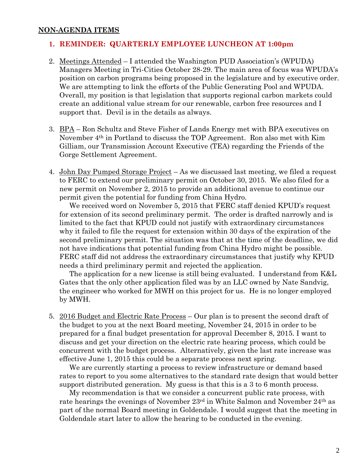### **NON-AGENDA ITEMS**

#### **1. REMINDER: QUARTERLY EMPLOYEE LUNCHEON AT 1:00pm**

- 2. Meetings Attended I attended the Washington PUD Association's (WPUDA) Managers Meeting in Tri-Cities October 28-29. The main area of focus was WPUDA's position on carbon programs being proposed in the legislature and by executive order. We are attempting to link the efforts of the Public Generating Pool and WPUDA. Overall, my position is that legislation that supports regional carbon markets could create an additional value stream for our renewable, carbon free resources and I support that. Devil is in the details as always.
- 3. BPA Ron Schultz and Steve Fisher of Lands Energy met with BPA executives on November 4th in Portland to discuss the TOP Agreement. Ron also met with Kim Gilliam, our Transmission Account Executive (TEA) regarding the Friends of the Gorge Settlement Agreement.
- 4. John Day Pumped Storage Project As we discussed last meeting, we filed a request to FERC to extend our preliminary permit on October 30, 2015. We also filed for a new permit on November 2, 2015 to provide an additional avenue to continue our permit given the potential for funding from China Hydro.

 We received word on November 5, 2015 that FERC staff denied KPUD's request for extension of its second preliminary permit. The order is drafted narrowly and is limited to the fact that KPUD could not justify with extraordinary circumstances why it failed to file the request for extension within 30 days of the expiration of the second preliminary permit. The situation was that at the time of the deadline, we did not have indications that potential funding from China Hydro might be possible. FERC staff did not address the extraordinary circumstances that justify why KPUD needs a third preliminary permit and rejected the application.

 The application for a new license is still being evaluated. I understand from K&L Gates that the only other application filed was by an LLC owned by Nate Sandvig, the engineer who worked for MWH on this project for us. He is no longer employed by MWH.

5. 2016 Budget and Electric Rate Process – Our plan is to present the second draft of the budget to you at the next Board meeting, November 24, 2015 in order to be prepared for a final budget presentation for approval December 8, 2015. I want to discuss and get your direction on the electric rate hearing process, which could be concurrent with the budget process. Alternatively, given the last rate increase was effective June 1, 2015 this could be a separate process next spring.

 We are currently starting a process to review infrastructure or demand based rates to report to you some alternatives to the standard rate design that would better support distributed generation. My guess is that this is a 3 to 6 month process.

 My recommendation is that we consider a concurrent public rate process, with rate hearings the evenings of November 23rd in White Salmon and November 24th as part of the normal Board meeting in Goldendale. I would suggest that the meeting in Goldendale start later to allow the hearing to be conducted in the evening.